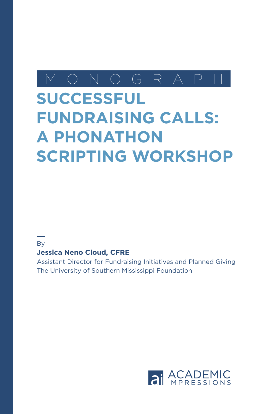## M O N O G R A P H

# **SUCCESSFUL FUNDRAISING CALLS: A PHONATHON SCRIPTING WORKSHOP**

#### **B**<sub>v</sub>

### **Jessica Neno Cloud, CFRE**

Assistant Director for Fundraising Initiatives and Planned Giving The University of Southern Mississippi Foundation

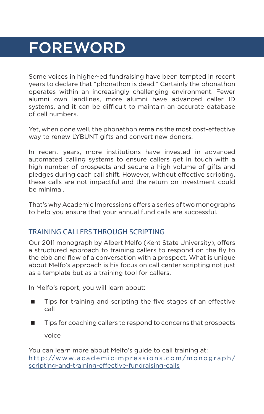## FOREWORD

Some voices in higher-ed fundraising have been tempted in recent years to declare that "phonathon is dead." Certainly the phonathon operates within an increasingly challenging environment. Fewer alumni own landlines, more alumni have advanced caller ID systems, and it can be difficult to maintain an accurate database of cell numbers.

Yet, when done well, the phonathon remains the most cost-effective way to renew LYBUNT gifts and convert new donors.

In recent years, more institutions have invested in advanced automated calling systems to ensure callers get in touch with a high number of prospects and secure a high volume of gifts and pledges during each call shift. However, without effective scripting, these calls are not impactful and the return on investment could be minimal.

That's why Academic Impressions offers a series of two monographs to help you ensure that your annual fund calls are successful.

## TRAINING CALLERS THROUGH SCRIPTING

Our 2011 monograph by Albert Melfo (Kent State University), offers a structured approach to training callers to respond on the fly to the ebb and flow of a conversation with a prospect. What is unique about Melfo's approach is his focus on call center scripting not just as a template but as a training tool for callers.

In Melfo's report, you will learn about:

- Tips for training and scripting the five stages of an effective call
- $\blacksquare$  Tips for coaching callers to respond to concerns that prospects voice

You can learn more about Melfo's guide to call training at: http://www.academicimpressions.com/monograph/ [scripting-and-training-effective-fundraising-calls](http://www.academicimpressions.com/monograph/scripting-and-training-effective-fundraising-calls)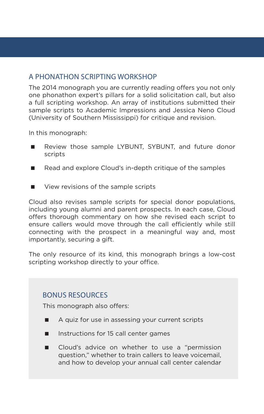## A PHONATHON SCRIPTING WORKSHOP

The 2014 monograph you are currently reading offers you not only one phonathon expert's pillars for a solid solicitation call, but also a full scripting workshop. An array of institutions submitted their sample scripts to Academic Impressions and Jessica Neno Cloud (University of Southern Mississippi) for critique and revision.

In this monograph:

- Review those sample LYBUNT, SYBUNT, and future donor scripts
- Read and explore Cloud's in-depth critique of the samples
- View revisions of the sample scripts

Cloud also revises sample scripts for special donor populations, including young alumni and parent prospects. In each case, Cloud offers thorough commentary on how she revised each script to ensure callers would move through the call efficiently while still connecting with the prospect in a meaningful way and, most importantly, securing a gift.

The only resource of its kind, this monograph brings a low-cost scripting workshop directly to your office.

### BONUS RESOURCES

This monograph also offers:

- A quiz for use in assessing your current scripts
- **Instructions for 15 call center games**
- **Cloud's advice on whether to use a "permission** question," whether to train callers to leave voicemail, and how to develop your annual call center calendar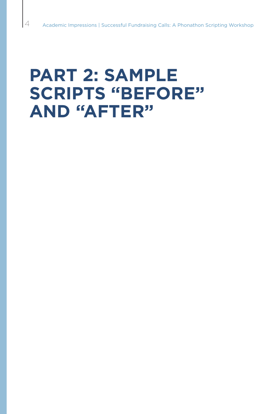# **PART 2: SAMPLE SCRIPTS "BEFORE" AND "AFTER"**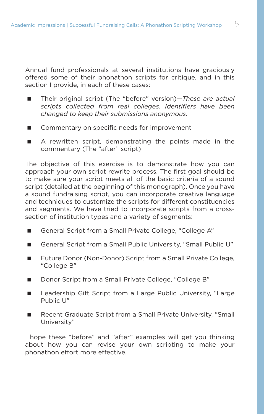Annual fund professionals at several institutions have graciously offered some of their phonathon scripts for critique, and in this section I provide, in each of these cases:

- Their original script (The "before" version)–*These are actual scripts collected from real colleges. Identifiers have been changed to keep their submissions anonymous.*
- Commentary on specific needs for improvement
- A rewritten script, demonstrating the points made in the commentary (The "after" script)

The objective of this exercise is to demonstrate how you can approach your own script rewrite process. The first goal should be to make sure your script meets all of the basic criteria of a sound script (detailed at the beginning of this monograph). Once you have a sound fundraising script, you can incorporate creative language and techniques to customize the scripts for different constituencies and segments. We have tried to incorporate scripts from a crosssection of institution types and a variety of segments:

- General Script from a Small Private College, "College A"
- General Script from a Small Public University, "Small Public U"
- Future Donor (Non-Donor) Script from a Small Private College, "College B"
- Donor Script from a Small Private College, "College B"
- Leadership Gift Script from a Large Public University, "Large Public U"
- Recent Graduate Script from a Small Private University, "Small University"

I hope these "before" and "after" examples will get you thinking about how you can revise your own scripting to make your phonathon effort more effective.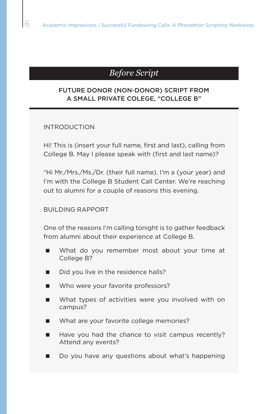## *Before Script*

#### FUTURE DONOR (NON-DONOR) SCRIPT FROM A SMALL PRIVATE COLEGE, "COLLEGE B"

#### INTRODUCTION

Hi! This is (insert your full name, first and last), calling from College B. May I please speak with (first and last name)?

"Hi Mr./Mrs./Ms./Dr. (their full name). I'm a (your year) and I'm with the College B Student Call Center. We're reaching out to alumni for a couple of reasons this evening.

#### BUILDING RAPPORT

One of the reasons I'm calling tonight is to gather feedback from alumni about their experience at College B.

- What do you remember most about your time at College B?
- $\Box$  Did you live in the residence halls?
- Who were your favorite professors?
- What types of activities were you involved with on campus?
- What are your favorite college memories?
- $\blacksquare$  Have you had the chance to visit campus recently? Attend any events?
- Do you have any questions about what's happening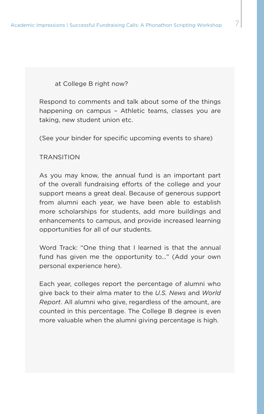at College B right now?

Respond to comments and talk about some of the things happening on campus – Athletic teams, classes you are taking, new student union etc.

(See your binder for specific upcoming events to share)

#### TRANSITION

As you may know, the annual fund is an important part of the overall fundraising efforts of the college and your support means a great deal. Because of generous support from alumni each year, we have been able to establish more scholarships for students, add more buildings and enhancements to campus, and provide increased learning opportunities for all of our students.

Word Track: "One thing that I learned is that the annual fund has given me the opportunity to…" (Add your own personal experience here).

Each year, colleges report the percentage of alumni who give back to their alma mater to the *U.S. News* and *World Report*. All alumni who give, regardless of the amount, are counted in this percentage. The College B degree is even more valuable when the alumni giving percentage is high.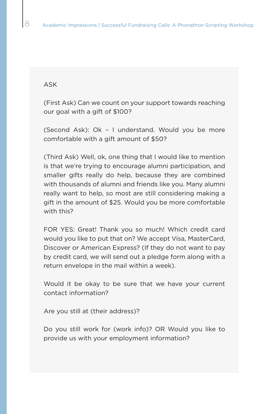#### ASK

(First Ask) Can we count on your support towards reaching our goal with a gift of \$100?

(Second Ask): Ok – I understand. Would you be more comfortable with a gift amount of \$50?

(Third Ask) Well, ok, one thing that I would like to mention is that we're trying to encourage alumni participation, and smaller gifts really do help, because they are combined with thousands of alumni and friends like you. Many alumni really want to help, so most are still considering making a gift in the amount of \$25. Would you be more comfortable with this?

FOR YES: Great! Thank you so much! Which credit card would you like to put that on? We accept Visa, MasterCard, Discover or American Express? (If they do not want to pay by credit card, we will send out a pledge form along with a return envelope in the mail within a week).

Would it be okay to be sure that we have your current contact information?

Are you still at (their address)?

Do you still work for (work info)? OR Would you like to provide us with your employment information?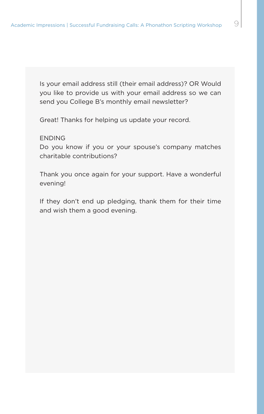Is your email address still (their email address)? OR Would you like to provide us with your email address so we can send you College B's monthly email newsletter?

Great! Thanks for helping us update your record.

#### ENDING

Do you know if you or your spouse's company matches charitable contributions?

Thank you once again for your support. Have a wonderful evening!

If they don't end up pledging, thank them for their time and wish them a good evening.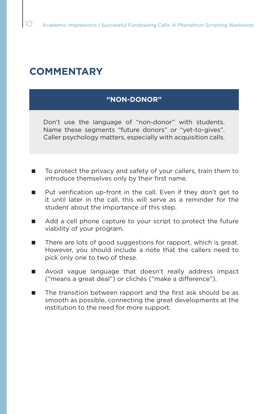## **COMMENTARY**

#### **"NON-DONOR"**

Don't use the language of "non-donor" with students. Name these segments "future donors" or "yet-to-gives". Caller psychology matters, especially with acquisition calls.

- To protect the privacy and safety of your callers, train them to introduce themselves only by their first name.
- Put verification up-front in the call. Even if they don't get to it until later in the call, this will serve as a reminder for the student about the importance of this step.
- Add a cell phone capture to your script to protect the future viability of your program.
- There are lots of good suggestions for rapport, which is great. However, you should include a note that the callers need to pick only one to two of these.
- **Nota** Avoid vague language that doesn't really address impact ("means a great deal") or clichés ("make a difference").
- The transition between rapport and the first ask should be as smooth as possible, connecting the great developments at the institution to the need for more support.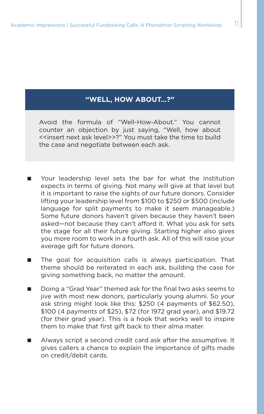### **"WELL, HOW ABOUT…?"**

Avoid the formula of "Well-How-About." You cannot counter an objection by just saying, "Well, how about <<insert next ask level>>?" You must take the time to build the case and negotiate between each ask.

- **Nour leadership level sets the bar for what the institution** expects in terms of giving. Not many will give at that level but it is important to raise the sights of our future donors. Consider lifting your leadership level from \$100 to \$250 or \$500 (include language for split payments to make it seem manageable.) Some future donors haven't given because they haven't been asked—not because they can't afford it. What you ask for sets the stage for all their future giving. Starting higher also gives you more room to work in a fourth ask. All of this will raise your average gift for future donors.
- The goal for acquisition calls is always participation. That theme should be reiterated in each ask, building the case for giving something back, no matter the amount.
- Doing a "Grad Year" themed ask for the final two asks seems to jive with most new donors, particularly young alumni. So your ask string might look like this: \$250 (4 payments of \$62.50), \$100 (4 payments of \$25), \$72 (for 1972 grad year), and \$19.72 (for their grad year). This is a hook that works well to inspire them to make that first gift back to their alma mater.
- Always script a second credit card ask after the assumptive. It gives callers a chance to explain the importance of gifts made on credit/debit cards.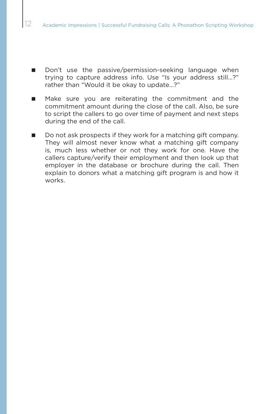- Don't use the passive/permission-seeking language when trying to capture address info. Use "Is your address still…?" rather than "Would it be okay to update…?"
- Make sure you are reiterating the commitment and the commitment amount during the close of the call. Also, be sure to script the callers to go over time of payment and next steps during the end of the call.
- Do not ask prospects if they work for a matching gift company. They will almost never know what a matching gift company is, much less whether or not they work for one. Have the callers capture/verify their employment and then look up that employer in the database or brochure during the call. Then explain to donors what a matching gift program is and how it works.